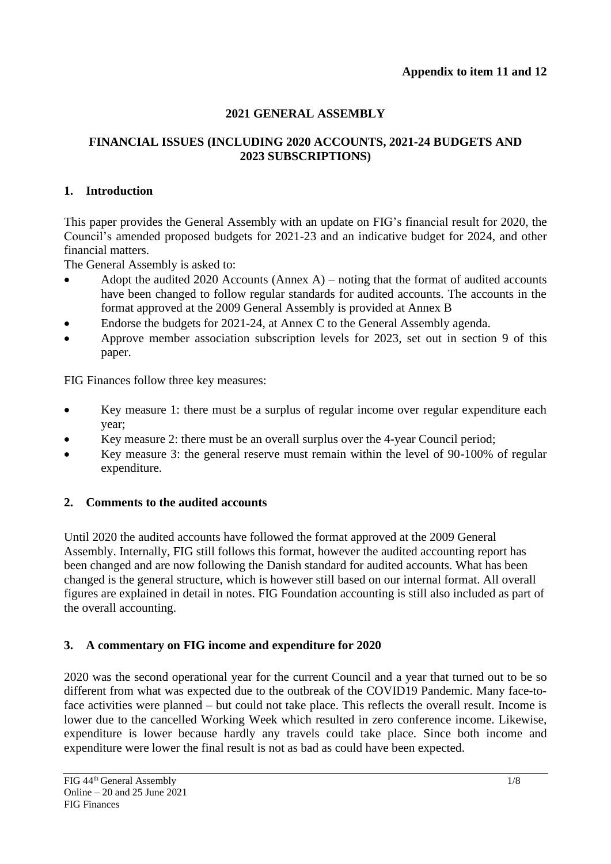# **2021 GENERAL ASSEMBLY**

## **FINANCIAL ISSUES (INCLUDING 2020 ACCOUNTS, 2021-24 BUDGETS AND 2023 SUBSCRIPTIONS)**

## **1. Introduction**

This paper provides the General Assembly with an update on FIG's financial result for 2020, the Council's amended proposed budgets for 2021-23 and an indicative budget for 2024, and other financial matters.

The General Assembly is asked to:

- Adopt the audited 2020 Accounts (Annex A) noting that the format of audited accounts have been changed to follow regular standards for audited accounts. The accounts in the format approved at the 2009 General Assembly is provided at Annex B
- Endorse the budgets for 2021-24, at Annex C to the General Assembly agenda.
- Approve member association subscription levels for 2023, set out in section 9 of this paper.

FIG Finances follow three key measures:

- Key measure 1: there must be a surplus of regular income over regular expenditure each year;
- Key measure 2: there must be an overall surplus over the 4-year Council period;
- Key measure 3: the general reserve must remain within the level of 90-100% of regular expenditure.

# **2. Comments to the audited accounts**

Until 2020 the audited accounts have followed the format approved at the 2009 General Assembly. Internally, FIG still follows this format, however the audited accounting report has been changed and are now following the Danish standard for audited accounts. What has been changed is the general structure, which is however still based on our internal format. All overall figures are explained in detail in notes. FIG Foundation accounting is still also included as part of the overall accounting.

## **3. A commentary on FIG income and expenditure for 2020**

2020 was the second operational year for the current Council and a year that turned out to be so different from what was expected due to the outbreak of the COVID19 Pandemic. Many face-toface activities were planned – but could not take place. This reflects the overall result. Income is lower due to the cancelled Working Week which resulted in zero conference income. Likewise, expenditure is lower because hardly any travels could take place. Since both income and expenditure were lower the final result is not as bad as could have been expected.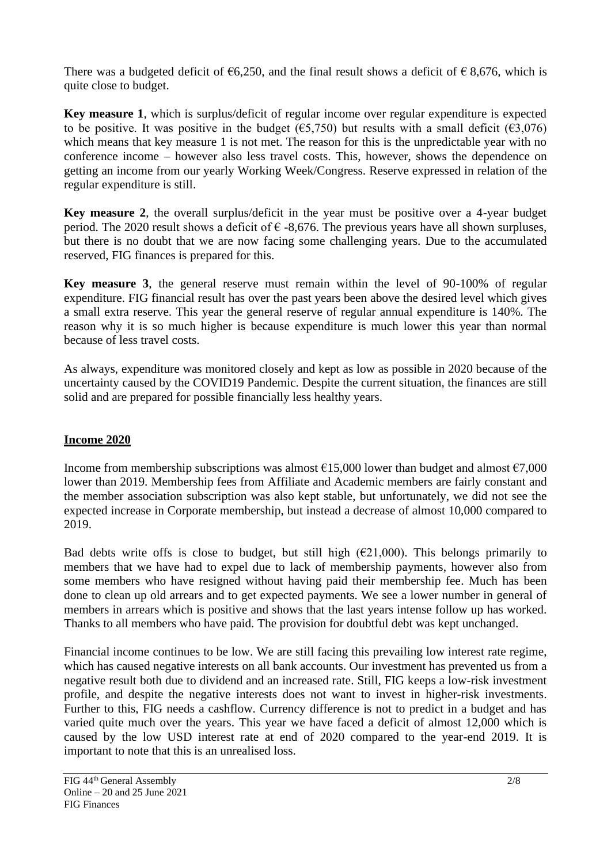There was a budgeted deficit of  $\epsilon$ 6,250, and the final result shows a deficit of  $\epsilon$  8,676, which is quite close to budget.

**Key measure 1**, which is surplus/deficit of regular income over regular expenditure is expected to be positive. It was positive in the budget ( $\epsilon$ 5,750) but results with a small deficit ( $\epsilon$ 3,076) which means that key measure 1 is not met. The reason for this is the unpredictable year with no conference income – however also less travel costs. This, however, shows the dependence on getting an income from our yearly Working Week/Congress. Reserve expressed in relation of the regular expenditure is still.

**Key measure 2**, the overall surplus/deficit in the year must be positive over a 4-year budget period. The 2020 result shows a deficit of  $\epsilon$  -8,676. The previous years have all shown surpluses, but there is no doubt that we are now facing some challenging years. Due to the accumulated reserved, FIG finances is prepared for this.

**Key measure 3**, the general reserve must remain within the level of 90-100% of regular expenditure. FIG financial result has over the past years been above the desired level which gives a small extra reserve. This year the general reserve of regular annual expenditure is 140%. The reason why it is so much higher is because expenditure is much lower this year than normal because of less travel costs.

As always, expenditure was monitored closely and kept as low as possible in 2020 because of the uncertainty caused by the COVID19 Pandemic. Despite the current situation, the finances are still solid and are prepared for possible financially less healthy years.

## **Income 2020**

Income from membership subscriptions was almost  $\epsilon$ 15,000 lower than budget and almost  $\epsilon$ 7,000 lower than 2019. Membership fees from Affiliate and Academic members are fairly constant and the member association subscription was also kept stable, but unfortunately, we did not see the expected increase in Corporate membership, but instead a decrease of almost 10,000 compared to 2019.

Bad debts write offs is close to budget, but still high  $(E21,000)$ . This belongs primarily to members that we have had to expel due to lack of membership payments, however also from some members who have resigned without having paid their membership fee. Much has been done to clean up old arrears and to get expected payments. We see a lower number in general of members in arrears which is positive and shows that the last years intense follow up has worked. Thanks to all members who have paid. The provision for doubtful debt was kept unchanged.

Financial income continues to be low. We are still facing this prevailing low interest rate regime, which has caused negative interests on all bank accounts. Our investment has prevented us from a negative result both due to dividend and an increased rate. Still, FIG keeps a low-risk investment profile, and despite the negative interests does not want to invest in higher-risk investments. Further to this, FIG needs a cashflow. Currency difference is not to predict in a budget and has varied quite much over the years. This year we have faced a deficit of almost 12,000 which is caused by the low USD interest rate at end of 2020 compared to the year-end 2019. It is important to note that this is an unrealised loss.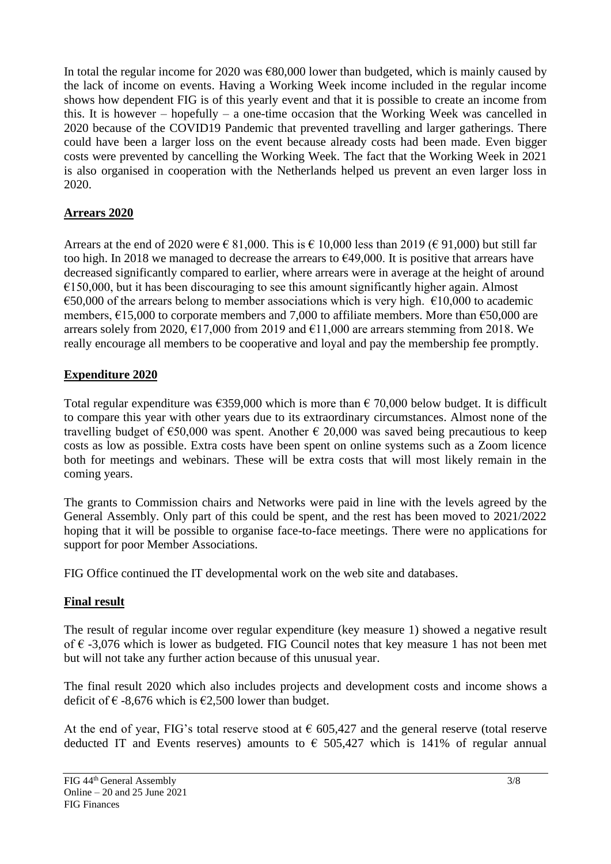In total the regular income for 2020 was  $\epsilon$ 80,000 lower than budgeted, which is mainly caused by the lack of income on events. Having a Working Week income included in the regular income shows how dependent FIG is of this yearly event and that it is possible to create an income from this. It is however – hopefully – a one-time occasion that the Working Week was cancelled in 2020 because of the COVID19 Pandemic that prevented travelling and larger gatherings. There could have been a larger loss on the event because already costs had been made. Even bigger costs were prevented by cancelling the Working Week. The fact that the Working Week in 2021 is also organised in cooperation with the Netherlands helped us prevent an even larger loss in 2020.

## **Arrears 2020**

Arrears at the end of 2020 were  $\in$  81,000. This is  $\in$  10,000 less than 2019 ( $\in$  91,000) but still far too high. In 2018 we managed to decrease the arrears to  $\epsilon$ 49,000. It is positive that arrears have decreased significantly compared to earlier, where arrears were in average at the height of around  $€150,000$ , but it has been discouraging to see this amount significantly higher again. Almost  $\epsilon$ 50,000 of the arrears belong to member associations which is very high.  $\epsilon$ 10,000 to academic members, €15,000 to corporate members and 7,000 to affiliate members. More than €50,000 are arrears solely from 2020,  $\epsilon$ 17,000 from 2019 and  $\epsilon$ 11,000 are arrears stemming from 2018. We really encourage all members to be cooperative and loyal and pay the membership fee promptly.

# **Expenditure 2020**

Total regular expenditure was  $\epsilon$ 359,000 which is more than  $\epsilon$  70,000 below budget. It is difficult to compare this year with other years due to its extraordinary circumstances. Almost none of the travelling budget of  $\epsilon$ 50,000 was spent. Another  $\epsilon$  20,000 was saved being precautious to keep costs as low as possible. Extra costs have been spent on online systems such as a Zoom licence both for meetings and webinars. These will be extra costs that will most likely remain in the coming years.

The grants to Commission chairs and Networks were paid in line with the levels agreed by the General Assembly. Only part of this could be spent, and the rest has been moved to 2021/2022 hoping that it will be possible to organise face-to-face meetings. There were no applications for support for poor Member Associations.

FIG Office continued the IT developmental work on the web site and databases.

## **Final result**

The result of regular income over regular expenditure (key measure 1) showed a negative result of  $\epsilon$  -3,076 which is lower as budgeted. FIG Council notes that key measure 1 has not been met but will not take any further action because of this unusual year.

The final result 2020 which also includes projects and development costs and income shows a deficit of  $€$  -8,676 which is  $€2,500$  lower than budget.

At the end of year, FIG's total reserve stood at  $\epsilon$  605,427 and the general reserve (total reserve deducted IT and Events reserves) amounts to  $\epsilon$  505,427 which is 141% of regular annual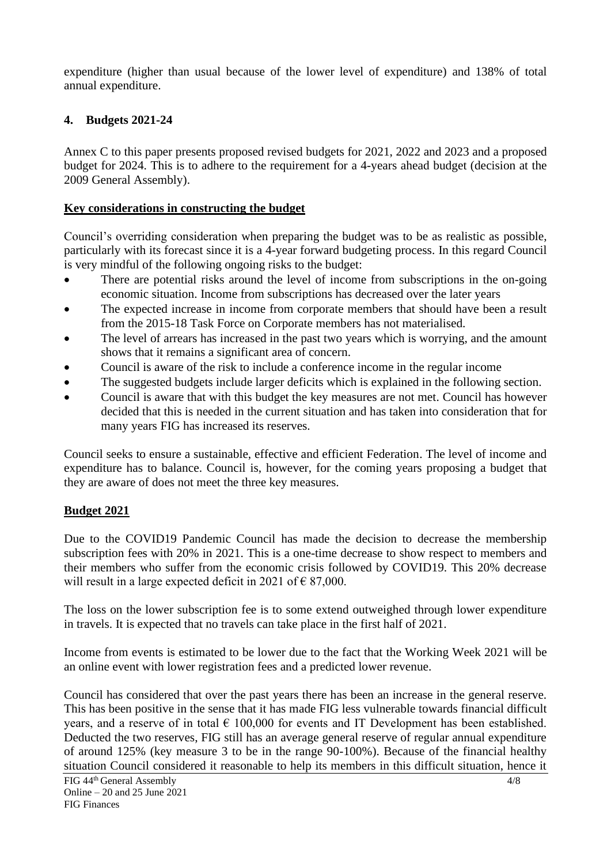expenditure (higher than usual because of the lower level of expenditure) and 138% of total annual expenditure.

### **4. Budgets 2021-24**

Annex C to this paper presents proposed revised budgets for 2021, 2022 and 2023 and a proposed budget for 2024. This is to adhere to the requirement for a 4-years ahead budget (decision at the 2009 General Assembly).

#### **Key considerations in constructing the budget**

Council's overriding consideration when preparing the budget was to be as realistic as possible, particularly with its forecast since it is a 4-year forward budgeting process. In this regard Council is very mindful of the following ongoing risks to the budget:

- There are potential risks around the level of income from subscriptions in the on-going economic situation. Income from subscriptions has decreased over the later years
- The expected increase in income from corporate members that should have been a result from the 2015-18 Task Force on Corporate members has not materialised.
- The level of arrears has increased in the past two years which is worrying, and the amount shows that it remains a significant area of concern.
- Council is aware of the risk to include a conference income in the regular income
- The suggested budgets include larger deficits which is explained in the following section.
- Council is aware that with this budget the key measures are not met. Council has however decided that this is needed in the current situation and has taken into consideration that for many years FIG has increased its reserves.

Council seeks to ensure a sustainable, effective and efficient Federation. The level of income and expenditure has to balance. Council is, however, for the coming years proposing a budget that they are aware of does not meet the three key measures.

## **Budget 2021**

Due to the COVID19 Pandemic Council has made the decision to decrease the membership subscription fees with 20% in 2021. This is a one-time decrease to show respect to members and their members who suffer from the economic crisis followed by COVID19. This 20% decrease will result in a large expected deficit in 2021 of  $\epsilon$  87,000.

The loss on the lower subscription fee is to some extend outweighed through lower expenditure in travels. It is expected that no travels can take place in the first half of 2021.

Income from events is estimated to be lower due to the fact that the Working Week 2021 will be an online event with lower registration fees and a predicted lower revenue.

Council has considered that over the past years there has been an increase in the general reserve. This has been positive in the sense that it has made FIG less vulnerable towards financial difficult years, and a reserve of in total  $\epsilon$  100,000 for events and IT Development has been established. Deducted the two reserves, FIG still has an average general reserve of regular annual expenditure of around 125% (key measure 3 to be in the range 90-100%). Because of the financial healthy situation Council considered it reasonable to help its members in this difficult situation, hence it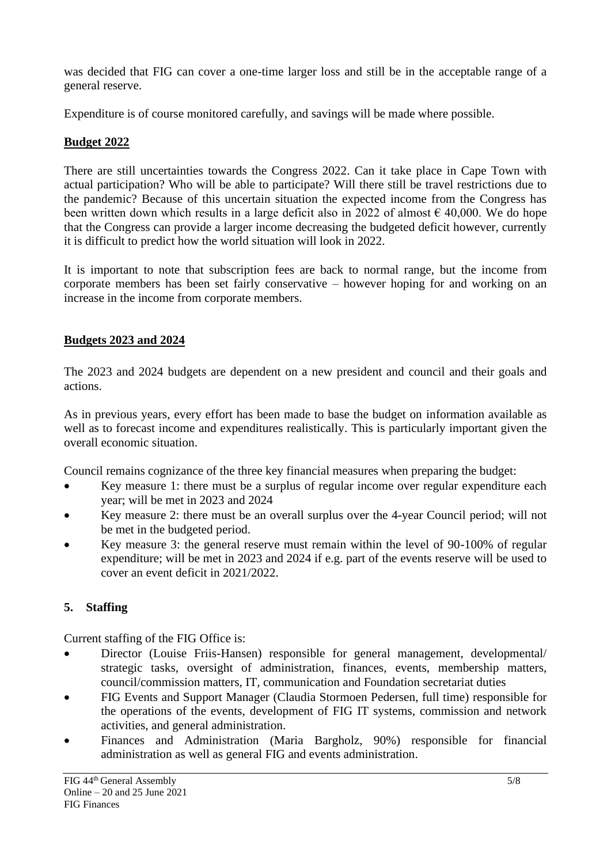was decided that FIG can cover a one-time larger loss and still be in the acceptable range of a general reserve.

Expenditure is of course monitored carefully, and savings will be made where possible.

## **Budget 2022**

There are still uncertainties towards the Congress 2022. Can it take place in Cape Town with actual participation? Who will be able to participate? Will there still be travel restrictions due to the pandemic? Because of this uncertain situation the expected income from the Congress has been written down which results in a large deficit also in 2022 of almost  $\epsilon$  40,000. We do hope that the Congress can provide a larger income decreasing the budgeted deficit however, currently it is difficult to predict how the world situation will look in 2022.

It is important to note that subscription fees are back to normal range, but the income from corporate members has been set fairly conservative – however hoping for and working on an increase in the income from corporate members.

## **Budgets 2023 and 2024**

The 2023 and 2024 budgets are dependent on a new president and council and their goals and actions.

As in previous years, every effort has been made to base the budget on information available as well as to forecast income and expenditures realistically. This is particularly important given the overall economic situation.

Council remains cognizance of the three key financial measures when preparing the budget:

- Key measure 1: there must be a surplus of regular income over regular expenditure each year; will be met in 2023 and 2024
- Key measure 2: there must be an overall surplus over the 4-year Council period; will not be met in the budgeted period.
- Key measure 3: the general reserve must remain within the level of 90-100% of regular expenditure; will be met in 2023 and 2024 if e.g. part of the events reserve will be used to cover an event deficit in 2021/2022.

# **5. Staffing**

Current staffing of the FIG Office is:

- Director (Louise Friis-Hansen) responsible for general management, developmental/ strategic tasks, oversight of administration, finances, events, membership matters, council/commission matters, IT, communication and Foundation secretariat duties
- FIG Events and Support Manager (Claudia Stormoen Pedersen, full time) responsible for the operations of the events, development of FIG IT systems, commission and network activities, and general administration.
- Finances and Administration (Maria Bargholz, 90%) responsible for financial administration as well as general FIG and events administration.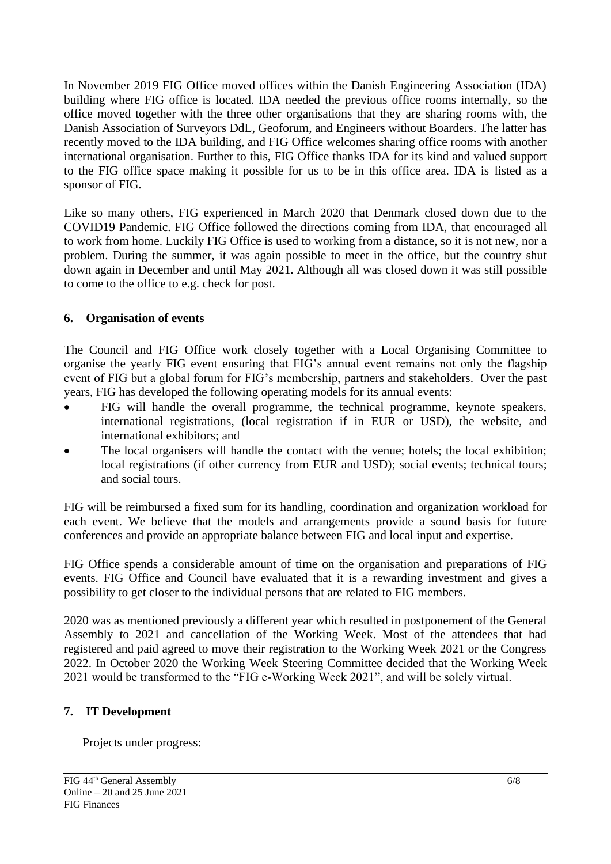In November 2019 FIG Office moved offices within the Danish Engineering Association (IDA) building where FIG office is located. IDA needed the previous office rooms internally, so the office moved together with the three other organisations that they are sharing rooms with, the Danish Association of Surveyors DdL, Geoforum, and Engineers without Boarders. The latter has recently moved to the IDA building, and FIG Office welcomes sharing office rooms with another international organisation. Further to this, FIG Office thanks IDA for its kind and valued support to the FIG office space making it possible for us to be in this office area. IDA is listed as a sponsor of FIG.

Like so many others, FIG experienced in March 2020 that Denmark closed down due to the COVID19 Pandemic. FIG Office followed the directions coming from IDA, that encouraged all to work from home. Luckily FIG Office is used to working from a distance, so it is not new, nor a problem. During the summer, it was again possible to meet in the office, but the country shut down again in December and until May 2021. Although all was closed down it was still possible to come to the office to e.g. check for post.

## **6. Organisation of events**

The Council and FIG Office work closely together with a Local Organising Committee to organise the yearly FIG event ensuring that FIG's annual event remains not only the flagship event of FIG but a global forum for FIG's membership, partners and stakeholders. Over the past years, FIG has developed the following operating models for its annual events:

- FIG will handle the overall programme, the technical programme, keynote speakers, international registrations, (local registration if in EUR or USD), the website, and international exhibitors; and
- The local organisers will handle the contact with the venue; hotels; the local exhibition; local registrations (if other currency from EUR and USD); social events; technical tours; and social tours.

FIG will be reimbursed a fixed sum for its handling, coordination and organization workload for each event. We believe that the models and arrangements provide a sound basis for future conferences and provide an appropriate balance between FIG and local input and expertise.

FIG Office spends a considerable amount of time on the organisation and preparations of FIG events. FIG Office and Council have evaluated that it is a rewarding investment and gives a possibility to get closer to the individual persons that are related to FIG members.

2020 was as mentioned previously a different year which resulted in postponement of the General Assembly to 2021 and cancellation of the Working Week. Most of the attendees that had registered and paid agreed to move their registration to the Working Week 2021 or the Congress 2022. In October 2020 the Working Week Steering Committee decided that the Working Week 2021 would be transformed to the "FIG e-Working Week 2021", and will be solely virtual.

## **7. IT Development**

Projects under progress: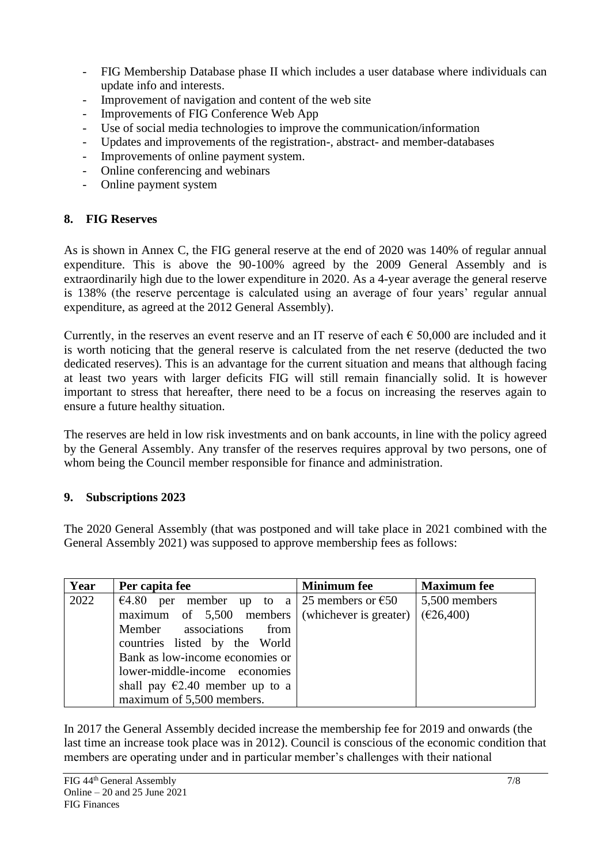- FIG Membership Database phase II which includes a user database where individuals can update info and interests.
- Improvement of navigation and content of the web site
- Improvements of FIG Conference Web App
- Use of social media technologies to improve the communication/information
- Updates and improvements of the registration-, abstract- and member-databases
- Improvements of online payment system.
- Online conferencing and webinars
- Online payment system

## **8. FIG Reserves**

As is shown in Annex C, the FIG general reserve at the end of 2020 was 140% of regular annual expenditure. This is above the 90-100% agreed by the 2009 General Assembly and is extraordinarily high due to the lower expenditure in 2020. As a 4-year average the general reserve is 138% (the reserve percentage is calculated using an average of four years' regular annual expenditure, as agreed at the 2012 General Assembly).

Currently, in the reserves an event reserve and an IT reserve of each  $\epsilon$  50,000 are included and it is worth noticing that the general reserve is calculated from the net reserve (deducted the two dedicated reserves). This is an advantage for the current situation and means that although facing at least two years with larger deficits FIG will still remain financially solid. It is however important to stress that hereafter, there need to be a focus on increasing the reserves again to ensure a future healthy situation.

The reserves are held in low risk investments and on bank accounts, in line with the policy agreed by the General Assembly. Any transfer of the reserves requires approval by two persons, one of whom being the Council member responsible for finance and administration.

## **9. Subscriptions 2023**

The 2020 General Assembly (that was postponed and will take place in 2021 combined with the General Assembly 2021) was supposed to approve membership fees as follows:

| Year | Per capita fee                                    | <b>Minimum</b> fee | <b>Maximum</b> fee |
|------|---------------------------------------------------|--------------------|--------------------|
| 2022 | €4.80 per member up to a 25 members or €50        |                    | 5,500 members      |
|      | maximum of $5,500$ members (whichever is greater) |                    | (E26,400)          |
|      | Member associations<br>from                       |                    |                    |
|      | countries listed by the World                     |                    |                    |
|      | Bank as low-income economies or                   |                    |                    |
|      | lower-middle-income economies                     |                    |                    |
|      | shall pay $\epsilon$ 2.40 member up to a          |                    |                    |
|      | maximum of 5,500 members.                         |                    |                    |

In 2017 the General Assembly decided increase the membership fee for 2019 and onwards (the last time an increase took place was in 2012). Council is conscious of the economic condition that members are operating under and in particular member's challenges with their national